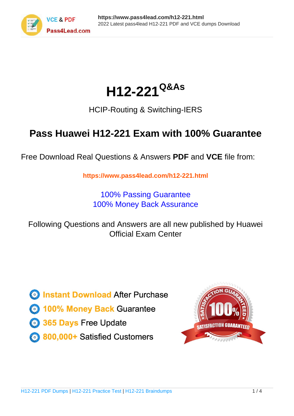

# **H12-221Q&As**

### HCIP-Routing & Switching-IERS

## **Pass Huawei H12-221 Exam with 100% Guarantee**

Free Download Real Questions & Answers **PDF** and **VCE** file from:

**https://www.pass4lead.com/h12-221.html**

100% Passing Guarantee 100% Money Back Assurance

Following Questions and Answers are all new published by Huawei Official Exam Center

**8 Instant Download After Purchase** 

**83 100% Money Back Guarantee** 

- 365 Days Free Update
- 800,000+ Satisfied Customers  $\epsilon$  or

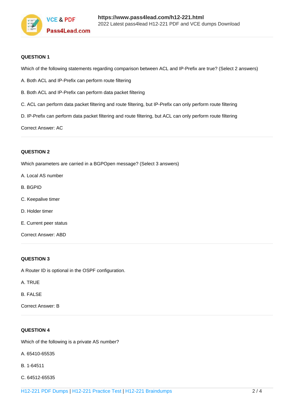

#### **QUESTION 1**

Which of the following statements regarding comparison between ACL and IP-Prefix are true? (Select 2 answers)

- A. Both ACL and IP-Prefix can perform route filtering
- B. Both ACL and IP-Prefix can perform data packet filtering
- C. ACL can perform data packet filtering and route filtering, but IP-Prefix can only perform route filtering
- D. IP-Prefix can perform data packet filtering and route filtering, but ACL can only perform route filtering

Correct Answer: AC

#### **QUESTION 2**

Which parameters are carried in a BGPOpen message? (Select 3 answers)

- A. Local AS number
- B. BGPID
- C. Keepalive timer
- D. Holder timer
- E. Current peer status
- Correct Answer: ABD

#### **QUESTION 3**

A Router ID is optional in the OSPF configuration.

- A. TRUE
- B. FALSE

Correct Answer: B

#### **QUESTION 4**

Which of the following is a private AS number?

- A. 65410-65535
- B. 1-64511
- C. 64512-65535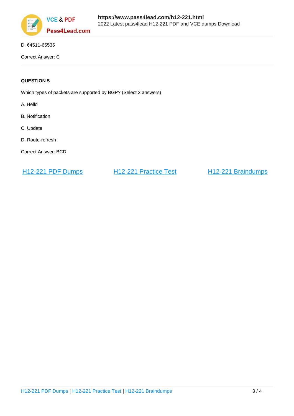

D. 64511-65535

Correct Answer: C

#### **QUESTION 5**

Which types of packets are supported by BGP? (Select 3 answers)

A. Hello

- B. Notification
- C. Update
- D. Route-refresh

Correct Answer: BCD

[H12-221 PDF Dumps](https://www.pass4lead.com/h12-221.html) [H12-221 Practice Test](https://www.pass4lead.com/h12-221.html) [H12-221 Braindumps](https://www.pass4lead.com/h12-221.html)